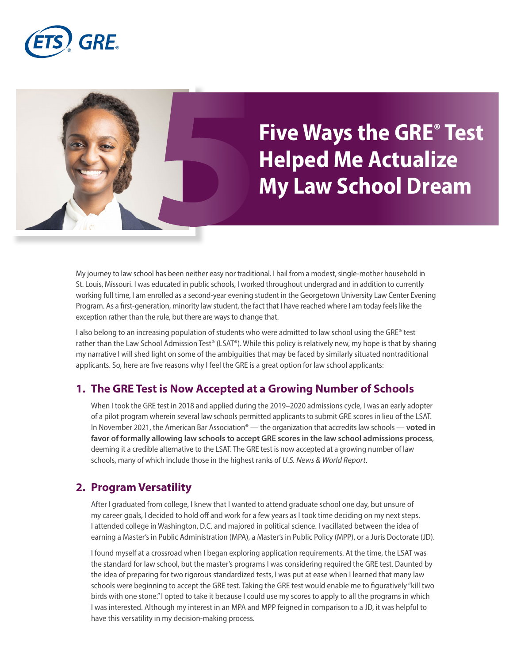

# **Five Ways the GRE® Test Helped Me Actualize My Law School Dream**

My journey to law school has been neither easy nor traditional. I hail from a modest, single-mother household in St. Louis, Missouri. I was educated in public schools, I worked throughout undergrad and in addition to currently working full time, I am enrolled as a second-year evening student in the Georgetown University Law Center Evening Program. As a first-generation, minority law student, the fact that I have reached where I am today feels like the exception rather than the rule, but there are ways to change that.

I also belong to an increasing population of students who were admitted to law school using the GRE® test rather than the Law School Admission Test® (LSAT®). While this policy is relatively new, my hope is that by sharing my narrative I will shed light on some of the ambiguities that may be faced by similarly situated nontraditional applicants. So, here are five reasons why I feel the GRE is a great option for law school applicants:

#### **1. The GRE Test is Now Accepted at a Growing Number of Schools**

When I took the GRE test in 2018 and applied during the 2019–2020 admissions cycle, I was an early adopter of a pilot program wherein several law schools permitted applicants to submit GRE scores in lieu of the LSAT. In November 2021, the American Bar Association® — the organization that accredits law schools — **[voted in](https://www.insidehighered.com/admissions/article/2021/12/06/aba-gives-law-schools-go-ahead-use-gre)  [favor of formally allowing law schools to accept GRE scores in the law school admissions process](https://www.insidehighered.com/admissions/article/2021/12/06/aba-gives-law-schools-go-ahead-use-gre)**, deeming it a credible alternative to the LSAT. The GRE test is now accepted at a growing number of law schools, many of which include those in the highest ranks of *U.S. News & World Report*.

## **2. Program Versatility**

After I graduated from college, I knew that I wanted to attend graduate school one day, but unsure of my career goals, I decided to hold off and work for a few years as I took time deciding on my next steps. I attended college in Washington, D.C. and majored in political science. I vacillated between the idea of earning a Master's in Public Administration (MPA), a Master's in Public Policy (MPP), or a Juris Doctorate (JD).

I found myself at a crossroad when I began exploring application requirements. At the time, the LSAT was the standard for law school, but the master's programs I was considering required the GRE test. Daunted by the idea of preparing for two rigorous standardized tests, I was put at ease when I learned that many law schools were beginning to accept the GRE test. Taking the GRE test would enable me to figuratively "kill two birds with one stone." I opted to take it because I could use my scores to apply to all the programs in which I was interested. Although my interest in an MPA and MPP feigned in comparison to a JD, it was helpful to have this versatility in my decision-making process.